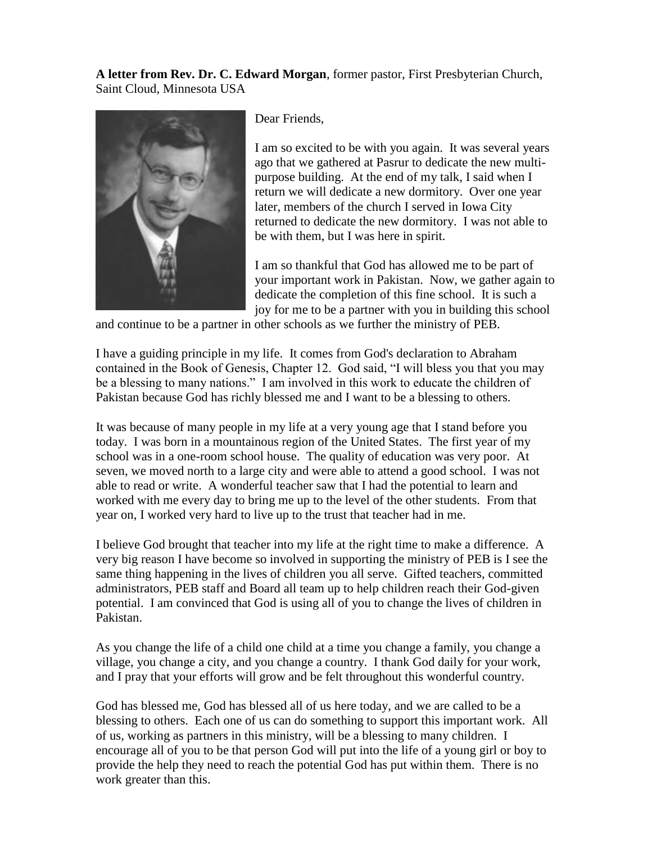**A letter from Rev. Dr. C. Edward Morgan**, former pastor, First Presbyterian Church, Saint Cloud, Minnesota USA



Dear Friends,

I am so excited to be with you again. It was several years ago that we gathered at Pasrur to dedicate the new multipurpose building. At the end of my talk, I said when I return we will dedicate a new dormitory. Over one year later, members of the church I served in Iowa City returned to dedicate the new dormitory. I was not able to be with them, but I was here in spirit.

I am so thankful that God has allowed me to be part of your important work in Pakistan. Now, we gather again to dedicate the completion of this fine school. It is such a joy for me to be a partner with you in building this school

and continue to be a partner in other schools as we further the ministry of PEB.

I have a guiding principle in my life. It comes from God's declaration to Abraham contained in the Book of Genesis, Chapter 12. God said, "I will bless you that you may be a blessing to many nations." I am involved in this work to educate the children of Pakistan because God has richly blessed me and I want to be a blessing to others.

It was because of many people in my life at a very young age that I stand before you today. I was born in a mountainous region of the United States. The first year of my school was in a one-room school house. The quality of education was very poor. At seven, we moved north to a large city and were able to attend a good school. I was not able to read or write. A wonderful teacher saw that I had the potential to learn and worked with me every day to bring me up to the level of the other students. From that year on, I worked very hard to live up to the trust that teacher had in me.

I believe God brought that teacher into my life at the right time to make a difference. A very big reason I have become so involved in supporting the ministry of PEB is I see the same thing happening in the lives of children you all serve. Gifted teachers, committed administrators, PEB staff and Board all team up to help children reach their God-given potential. I am convinced that God is using all of you to change the lives of children in Pakistan.

As you change the life of a child one child at a time you change a family, you change a village, you change a city, and you change a country. I thank God daily for your work, and I pray that your efforts will grow and be felt throughout this wonderful country.

God has blessed me, God has blessed all of us here today, and we are called to be a blessing to others. Each one of us can do something to support this important work. All of us, working as partners in this ministry, will be a blessing to many children. I encourage all of you to be that person God will put into the life of a young girl or boy to provide the help they need to reach the potential God has put within them. There is no work greater than this.